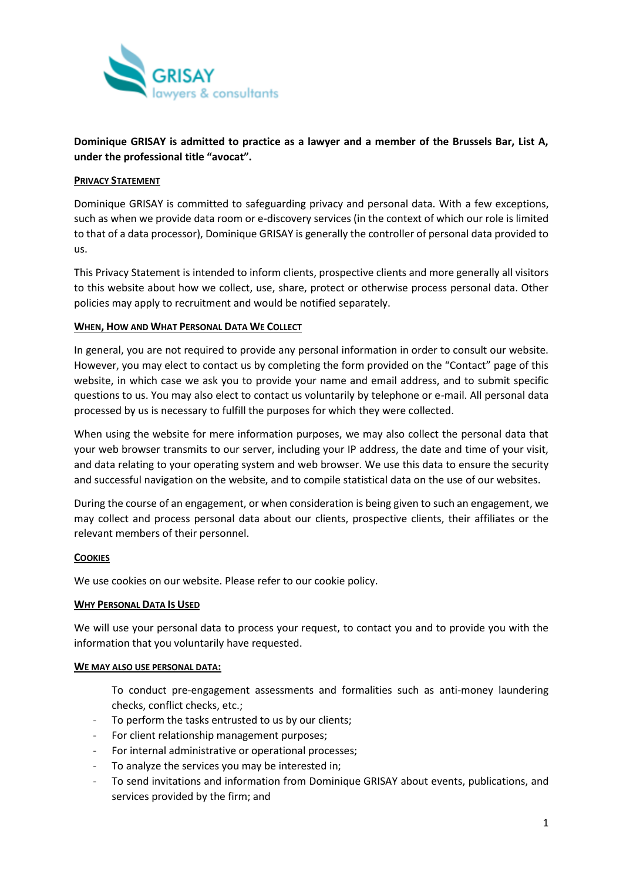

# **Dominique GRISAY is admitted to practice as a lawyer and a member of the Brussels Bar, List A, under the professional title "avocat".**

## **PRIVACY STATEMENT**

Dominique GRISAY is committed to safeguarding privacy and personal data. With a few exceptions, such as when we provide data room or e-discovery services (in the context of which our role is limited to that of a data processor), Dominique GRISAY is generally the controller of personal data provided to us.

This Privacy Statement is intended to inform clients, prospective clients and more generally all visitors to this website about how we collect, use, share, protect or otherwise process personal data. Other policies may apply to recruitment and would be notified separately.

## **WHEN, HOW AND WHAT PERSONAL DATA WE COLLECT**

In general, you are not required to provide any personal information in order to consult our website. However, you may elect to contact us by completing the form provided on the "Contact" page of this website, in which case we ask you to provide your name and email address, and to submit specific questions to us. You may also elect to contact us voluntarily by telephone or e-mail. All personal data processed by us is necessary to fulfill the purposes for which they were collected.

When using the website for mere information purposes, we may also collect the personal data that your web browser transmits to our server, including your IP address, the date and time of your visit, and data relating to your operating system and web browser. We use this data to ensure the security and successful navigation on the website, and to compile statistical data on the use of our websites.

During the course of an engagement, or when consideration is being given to such an engagement, we may collect and process personal data about our clients, prospective clients, their affiliates or the relevant members of their personnel.

## **COOKIES**

We use cookies on our website. Please refer to our cookie policy.

## **WHY PERSONAL DATA IS USED**

We will use your personal data to process your request, to contact you and to provide you with the information that you voluntarily have requested.

## **WE MAY ALSO USE PERSONAL DATA:**

To conduct pre-engagement assessments and formalities such as anti-money laundering checks, conflict checks, etc.;

- To perform the tasks entrusted to us by our clients;
- For client relationship management purposes;
- For internal administrative or operational processes;
- To analyze the services you may be interested in;
- To send invitations and information from Dominique GRISAY about events, publications, and services provided by the firm; and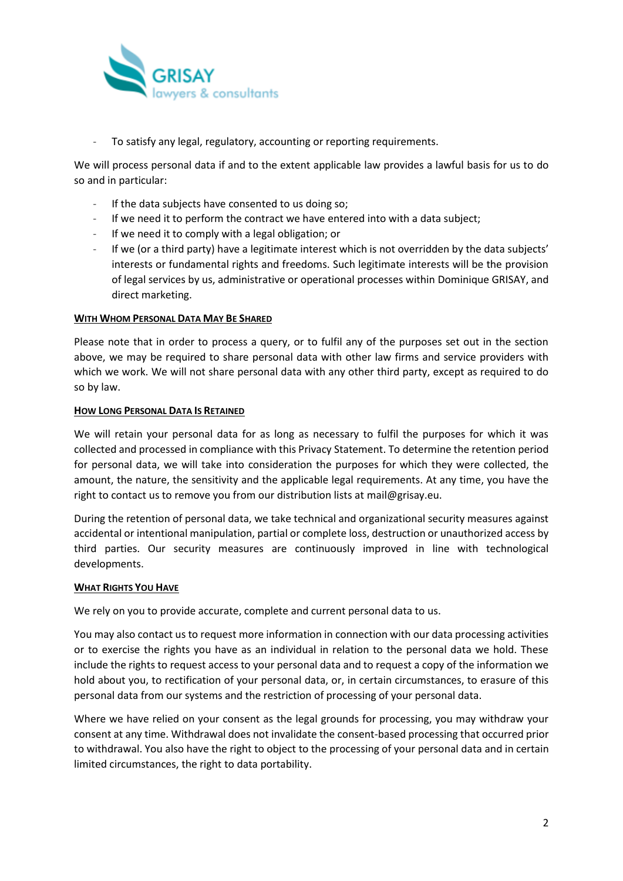

- To satisfy any legal, regulatory, accounting or reporting requirements.

We will process personal data if and to the extent applicable law provides a lawful basis for us to do so and in particular:

- If the data subjects have consented to us doing so;
- If we need it to perform the contract we have entered into with a data subject;
- If we need it to comply with a legal obligation; or
- If we (or a third party) have a legitimate interest which is not overridden by the data subiects' interests or fundamental rights and freedoms. Such legitimate interests will be the provision of legal services by us, administrative or operational processes within Dominique GRISAY, and direct marketing.

#### **WITH WHOM PERSONAL DATA MAY BE SHARED**

Please note that in order to process a query, or to fulfil any of the purposes set out in the section above, we may be required to share personal data with other law firms and service providers with which we work. We will not share personal data with any other third party, except as required to do so by law.

#### **HOW LONG PERSONAL DATA IS RETAINED**

We will retain your personal data for as long as necessary to fulfil the purposes for which it was collected and processed in compliance with this Privacy Statement. To determine the retention period for personal data, we will take into consideration the purposes for which they were collected, the amount, the nature, the sensitivity and the applicable legal requirements. At any time, you have the right to contact us to remove you from our distribution lists at mail@grisay.eu.

During the retention of personal data, we take technical and organizational security measures against accidental or intentional manipulation, partial or complete loss, destruction or unauthorized access by third parties. Our security measures are continuously improved in line with technological developments.

#### **WHAT RIGHTS YOU HAVE**

We rely on you to provide accurate, complete and current personal data to us.

You may also contact us to request more information in connection with our data processing activities or to exercise the rights you have as an individual in relation to the personal data we hold. These include the rights to request access to your personal data and to request a copy of the information we hold about you, to rectification of your personal data, or, in certain circumstances, to erasure of this personal data from our systems and the restriction of processing of your personal data.

Where we have relied on your consent as the legal grounds for processing, you may withdraw your consent at any time. Withdrawal does not invalidate the consent-based processing that occurred prior to withdrawal. You also have the right to object to the processing of your personal data and in certain limited circumstances, the right to data portability.